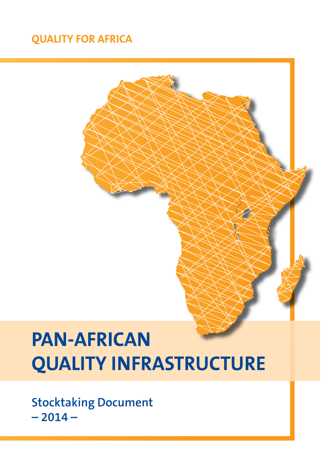## **QUALITY FOR AFRICA**

# **PAN-AFRICAN QUALITY INFRASTRUCTURE**

**Stocktaking Document**  $-2014-$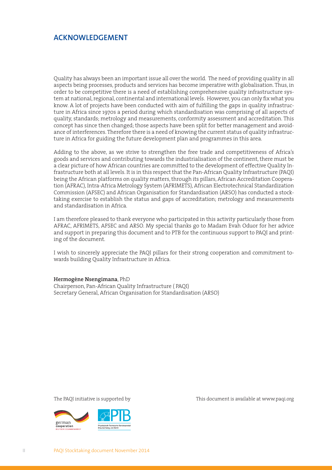#### **ACKNOWLEDGEMENT**

Quality has always been an important issue all over the world. The need of providing quality in all aspects being processes, products and services has become imperative with globalisation. Thus, in order to be competitive there is a need of establishing comprehensive quality infrastructure system at national, regional, continental and international levels. However, you can only fix what you know. A lot of projects have been conducted with aim of fulfilling the gaps in quality infrastructure in Africa since 1970s a period during which standardisation was comprising of all aspects of quality, standards; metrology and measurements, conformity assessment and accreditation. This concept has since then changed; those aspects have been split for better management and avoidance of interferences. Therefore there is a need of knowing the current status of quality infrastructure in Africa for guiding the future development plan and programmes in this area.

Adding to the above, as we strive to strengthen the free trade and competitiveness of Africa's goods and services and contributing towards the industrialisation of the continent, there must be a clear picture of how African countries are committed to the development of effective Quality Infrastructure both at all levels. It is in this respect that the Pan-African Quality Infrastructure (PAQI) being the African platforms on quality matters, through its pillars, African Accreditation Cooperation (AFRAC), Intra-Africa Metrology System (AFRIMETS), African Electrotechnical Standardization Commission (AFSEC) and African Organisation for Standardisation (ARSO) has conducted a stocktaking exercise to establish the status and gaps of accreditation; metrology and measurements and standardisation in Africa.

I am therefore pleased to thank everyone who participated in this activity particularly those from AFRAC, AFRIMETS, AFSEC and ARSO. My special thanks go to Madam Evah Oduor for her advice and support in preparing this document and to PTB for the continuous support to PAQI and printing of the document.

I wish to sincerely appreciate the PAQI pillars for their strong cooperation and commitment towards building Quality Infrastructure in Africa.

#### **Hermogène Nsengimana**, PhD

Chairperson, Pan-African Quality Infrastructure ( PAQI) Secretary General, African Organisation for Standardisation (ARSO)



The PAQI initiative is supported by This document is available at www.paqi.org

II PAQI Stocktaking document November 2014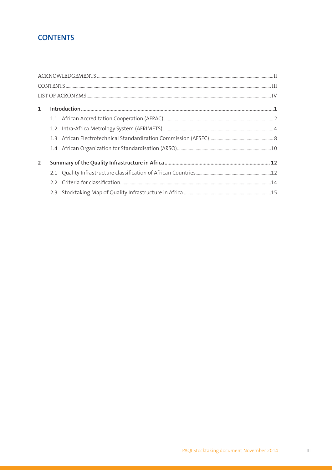## **CONTENTS**

| $\mathbf{1}$ |  |  |  |  |
|--------------|--|--|--|--|
|              |  |  |  |  |
|              |  |  |  |  |
|              |  |  |  |  |
|              |  |  |  |  |
| 2            |  |  |  |  |
|              |  |  |  |  |
|              |  |  |  |  |
|              |  |  |  |  |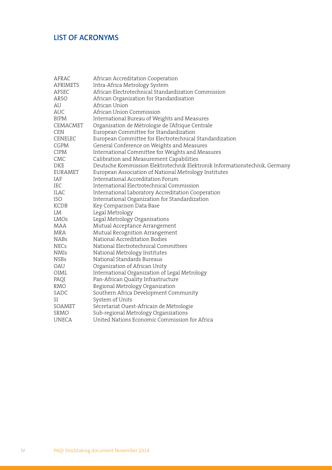### **LIST OF ACRONYMS**

| AFRAC           | African Accreditation Cooperation                                          |
|-----------------|----------------------------------------------------------------------------|
| <b>AFRIMETS</b> | Intra-Africa Metrology System                                              |
| AFSEC           | African Electrotechnical Standardization Commission                        |
| ARSO            | African Organization for Standardisation                                   |
| AU              | African Union                                                              |
| <b>AUC</b>      | African Union Commission                                                   |
| BIPM            | International Bureau of Weights and Measures                               |
| CEMACMET        | Organisation de Métrologie de l'Afrique Centrale                           |
| <b>CEN</b>      | European Committee for Standardization                                     |
| <b>CENELEC</b>  | European Committee for Electrotechnical Standardization                    |
| CGPM            | General Conference on Weights and Measures                                 |
| <b>CIPM</b>     | International Committee for Weights and Measures                           |
| CMC             | Calibration and Measurement Capabilities                                   |
| DKE             | Deutsche Kommission Elektrotechnik Elektronik Informationstechnik, Germany |
| EURAMET         | European Association of National Metrology Institutes                      |
| IAF             | International Accreditation Forum                                          |
| IEC             | International Electrotechnical Commission                                  |
| ILAC            | International Laboratory Accreditation Cooperation                         |
| <b>ISO</b>      | International Organization for Standardization                             |
| KCDB            | Key Comparison Data Base                                                   |
| LM              | Legal Metrology                                                            |
| LMOs            | Legal Metrology Organisations                                              |
| MAA             | Mutual Acceptance Arrangement                                              |
| MRA             | Mutual Recognition Arrangement                                             |
| <b>NABs</b>     | National Accreditation Bodies                                              |
| <b>NECs</b>     | National Electrotechnical Committees                                       |
| <b>NMIs</b>     | National Metrology Institutes                                              |
| <b>NSBs</b>     | National Standards Bureaus                                                 |
| OAU             | Organization of African Unity                                              |
| OIML            | International Organization of Legal Metrology                              |
| PAQI            | Pan-African Quality Infrastructure                                         |
| RMO             | Regional Metrology Organization                                            |
| SADC            | Southern Africa Development Community                                      |
| SI              | System of Units                                                            |
| SOAMET          | Sécretariat Ouest-Africain de Métrologie                                   |
| <b>SRMO</b>     | Sub-regional Metrology Organizations                                       |
| <b>UNECA</b>    | United Nations Economic Commission for Africa                              |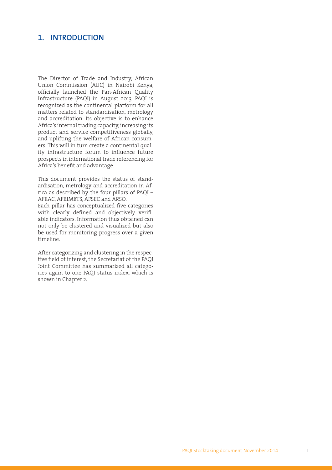#### **1. INTRODUCTION**

The Director of Trade and Industry, African Union Commission (AUC) in Nairobi Kenya, officially launched the Pan-African Quality Infrastructure (PAQI) in August 2013. PAQI is recognized as the continental platform for all matters related to standardisation, metrology and accreditation. Its objective is to enhance Africa's internal trading capacity, increasing its product and service competitiveness globally, and uplifting the welfare of African consumers. This will in turn create a continental quality infrastructure forum to influence future prospects in international trade referencing for Africa's benefit and advantage.

This document provides the status of standardisation, metrology and accreditation in Africa as described by the four pillars of PAQI – AFRAC, AFRIMETS, AFSEC and ARSO.

Each pillar has conceptualized five categories with clearly defined and objectively verifiable indicators. Information thus obtained can not only be clustered and visualized but also be used for monitoring progress over a given timeline.

After categorizing and clustering in the respective field of interest, the Secretariat of the PAQI Joint Committee has summarized all categories again to one PAQI status index, which is shown in Chapter 2.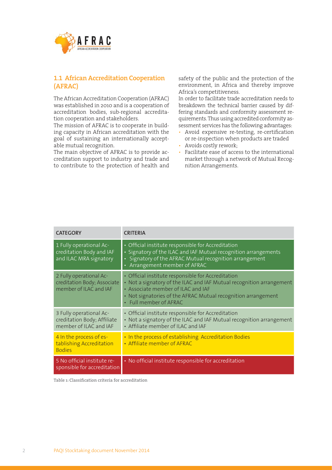

#### **1.1 African Accreditation Cooperation (AFRAC)**

The African Accreditation Cooperation (AFRAC) was established in 2010 and is a cooperation of accreditation bodies, sub-regional accreditation cooperation and stakeholders.

The mission of AFRAC is to cooperate in building capacity in African accreditation with the goal of sustaining an internationally acceptable mutual recognition.

The main objective of AFRAC is to provide accreditation support to industry and trade and to contribute to the protection of health and safety of the public and the protection of the environment, in Africa and thereby improve Africa's competitiveness.

In order to facilitate trade accreditation needs to breakdown the technical barrier caused by differing standards and conformity assessment requirements. Thus using accredited conformity assessment services has the following advantages:

- Avoid expensive re-testing, re-certification or re-inspection when products are traded
- Avoids costly rework;
- Facilitate ease of access to the international market through a network of Mutual Recognition Arrangements.

| <b>CATEGORY</b>                                                                  | <b>CRITERIA</b>                                                                                                                                                                                                                                             |
|----------------------------------------------------------------------------------|-------------------------------------------------------------------------------------------------------------------------------------------------------------------------------------------------------------------------------------------------------------|
| 1 Fully operational Ac-<br>creditation Body and IAF<br>and ILAC MRA signatory    | • Official institute responsible for Accreditation<br>• Signatory of the ILAC and IAF Mutual recognition arrangements<br>• Signatory of the AFRAC Mutual recognition arrangement<br>• Arrangement member of AFRAC                                           |
| 2 Fully operational Ac-<br>creditation Body; Associate<br>member of ILAC and IAF | • Official institute responsible for Accreditation<br>• Not a signatory of the ILAC and IAF Mutual recognition arrangement<br>• Associate member of ILAC and IAF<br>• Not signatories of the AFRAC Mutual recognition arrangement<br>• Full member of AFRAC |
| 3 Fully operational Ac-<br>creditation Body; Affiliate<br>member of ILAC and IAF | • Official institute responsible for Accreditation<br>• Not a signatory of the ILAC and IAF Mutual recognition arrangement<br>• Affiliate member of ILAC and IAF                                                                                            |
| 4 In the process of es-<br>tablishing Accreditation<br><b>Bodies</b>             | • In the process of establishing Accreditation Bodies<br>• Affiliate member of AFRAC                                                                                                                                                                        |
| 5 No official institute re-<br>sponsible for accreditation                       | · No official institute responsible for accreditation                                                                                                                                                                                                       |

**Table 1: Classifi cation criteria for accreditation**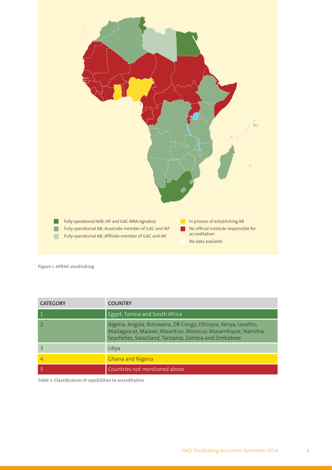

**Figure 1: AFRAC stocktaking**

| <b>CATEGORY</b> | <b>COUNTRY</b>                                                                                                                                                                         |
|-----------------|----------------------------------------------------------------------------------------------------------------------------------------------------------------------------------------|
|                 | Egypt, Tunisia and South Africa                                                                                                                                                        |
|                 | Algeria, Angola, Botswana, DR Congo, Ethiopia, Kenya, Lesotho,<br>Madagascar, Malawi, Mauritius, Morocco, Mozambique, Namibia,<br>Seychelles, Swaziland, Tanzania, Zambia and Zimbabwe |
|                 | Libya                                                                                                                                                                                  |
| 4               | <b>Ghana and Nigeria</b>                                                                                                                                                               |
|                 | Countries not mentioned above                                                                                                                                                          |

Table 2: Classification of capabilities in accreditation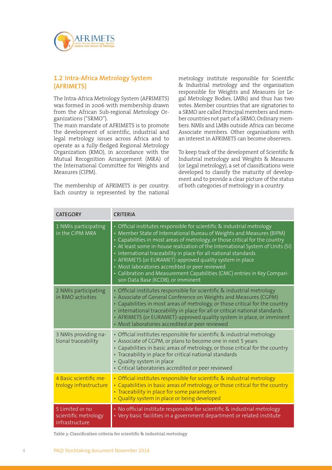

#### **1.2 Intra-Africa Metrology System (AFRIMETS)**

The Intra-Africa Metrology System (AFRIMETS) was formed in 2006 with membership drawn from the African Sub-regional Metrology Organizations ("SRMO").

The main mandate of AFRIMETS is to promote the development of scientific, industrial and legal metrology issues across Africa and to operate as a fully-fledged Regional Metrology Organization (RMO), in accordance with the Mutual Recognition Arrangement (MRA) of the International Committee for Weights and Measures (CIPM).

The membership of AFRIMETS is per country. Each country is represented by the national metrology institute responsible for Scientific & Industrial metrology and the organisation responsible for Weights and Measures (or Legal Metrology Bodies, LMBs) and thus has two votes. Member countries that are signatories to a SRMO are called Principal members and member countries not part of a SRMO, Ordinary members. NMIs and LMBs outside Africa can become Associate members. Other organisations with an interest in AFRIMETS can become observers.

To keep track of the development of Scientific & Industrial metrology and Weights & Measures (or Legal metrology), a set of classifications were developed to classify the maturity of development and to provide a clear picture of the status of both categories of metrology in a country.

| <b>CATEGORY</b>                                           | <b>CRITERIA</b>                                                                                                                                                                                                                                                                                                                                                                                                                                                                                                                                                                                                        |
|-----------------------------------------------------------|------------------------------------------------------------------------------------------------------------------------------------------------------------------------------------------------------------------------------------------------------------------------------------------------------------------------------------------------------------------------------------------------------------------------------------------------------------------------------------------------------------------------------------------------------------------------------------------------------------------------|
| 1 NMIs participating<br>in the CIPM MRA                   | • Official institutes responsible for scientific & industrial metrology<br>• Member State of International Bureau of Weights and Measures (BIPM)<br>• Capabilities in most areas of metrology, or those critical for the country<br>• At least some in-house realization of the International System of Units (SI)<br>· International traceability in place for all national standards<br>• AFRIMETS (or EURAMET)-approved quality system in place<br>• Most laboratories accredited or peer reviewed<br>• Calibration and Measurement Capabilities (CMC) entries in Key Compari-<br>son Data Base (KCDB), or imminent |
| 2 NMIs participating<br>in RMO activities                 | • Official institutes responsible for scientific & industrial metrology<br>• Associate of General Conference on Weights and Measures (CGPM)<br>• Capabilities in most areas of metrology, or those critical for the country<br>· International traceability in place for all or critical national standards<br>• AFRIMETS (or EURAMET)-approved quality system in place, or imminent<br>• Most laboratories accredited or peer reviewed                                                                                                                                                                                |
| 3 NMIs providing na-<br>tional traceability               | • Official institutes responsible for scientific & industrial metrology<br>• Associate of CGPM, or plans to become one in next 5 years<br>• Capabilities in basic areas of metrology, or those critical for the country<br>• Traceability in place for critical national standards<br>• Quality system in place<br>· Critical laboratories accredited or peer reviewed                                                                                                                                                                                                                                                 |
| 4 Basic scientific me-<br>trology infrastructure          | • Official institutes responsible for scientific & industrial metrology<br>• Capabilities in basic areas of metrology, or those critical for the country<br>• Traceability in place for some parameters<br>• Quality system in place or being developed                                                                                                                                                                                                                                                                                                                                                                |
| 5 Limited or no<br>scientific metrology<br>infrastructure | • No official institute responsible for scientific & industrial metrology<br>• Very basic facilities in a government department or related institute                                                                                                                                                                                                                                                                                                                                                                                                                                                                   |

Table 3: Classification criteria for scientific & industrial metrology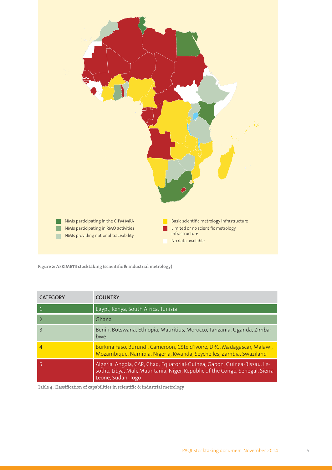

Figure 2: AFRIMETS stocktaking (scientific & industrial metrology)

| <b>CATEGORY</b>          | <b>COUNTRY</b>                                                                                                                                                                  |
|--------------------------|---------------------------------------------------------------------------------------------------------------------------------------------------------------------------------|
| $\vert$ 1                | Egypt, Kenya, South Africa, Tunisia                                                                                                                                             |
|                          | Ghana                                                                                                                                                                           |
| $\overline{\mathcal{E}}$ | Benin, Botswana, Ethiopia, Mauritius, Morocco, Tanzania, Uganda, Zimba-<br>bwe                                                                                                  |
| $\overline{4}$           | Burkina Faso, Burundi, Cameroon, Côte d'Ivoire, DRC, Madagascar, Malawi,<br>Mozambique, Namibia, Nigeria, Rwanda, Seychelles, Zambia, Swaziland                                 |
| $\overline{5}$           | Algeria, Angola, CAR, Chad, Equatorial-Guinea, Gabon, Guinea-Bissau, Le-<br>sotho, Libya, Mali, Mauritania, Niger, Republic of the Congo, Senegal, Sierra<br>Leone, Sudan, Togo |

Table 4: Classification of capabilities in scientific & industrial metrology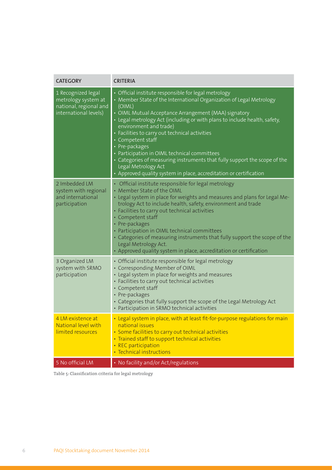| <b>CATEGORY</b>                                                                              | <b>CRITERIA</b>                                                                                                                                                                                                                                                                                                                                                                                                                                                                                                                                                                                                         |
|----------------------------------------------------------------------------------------------|-------------------------------------------------------------------------------------------------------------------------------------------------------------------------------------------------------------------------------------------------------------------------------------------------------------------------------------------------------------------------------------------------------------------------------------------------------------------------------------------------------------------------------------------------------------------------------------------------------------------------|
| 1 Recognized legal<br>metrology system at<br>national, regional and<br>international levels) | · Official institute responsible for legal metrology<br>• Member State of the International Organization of Legal Metrology<br>(OIML)<br>• OIML Mutual Acceptance Arrangement (MAA) signatory<br>• Legal metrology Act (including or with plans to include health, safety,<br>environment and trade)<br>· Facilities to carry out technical activities<br>• Competent staff<br>• Pre-packages<br>• Participation in OIML technical committees<br>• Categories of measuring instruments that fully support the scope of the<br>Legal Metrology Act<br>• Approved quality system in place, accreditation or certification |
| 2 Imbedded LM<br>system with regional<br>and international<br>participation                  | • Official institute responsible for legal metrology<br>• Member State of the OIML<br>• Legal system in place for weights and measures and plans for Legal Me-<br>trology Act to include health, safety, environment and trade<br>• Facilities to carry out technical activities<br>• Competent staff<br>• Pre-packages<br>• Participation in OIML technical committees<br>• Categories of measuring instruments that fully support the scope of the<br>Legal Metrology Act.<br>• Approved quality system in place, accreditation or certification                                                                      |
| 3 Organized LM<br>system with SRMO<br>participation                                          | • Official institute responsible for legal metrology<br>• Corresponding Member of OIML<br>• Legal system in place for weights and measures<br>· Facilities to carry out technical activities<br>• Competent staff<br>• Pre-packages<br>• Categories that fully support the scope of the Legal Metrology Act<br>• Participation in SRMO technical activities                                                                                                                                                                                                                                                             |
| 4 LM existence at<br>National level with<br>limited resources                                | • Legal system in place, with at least fit-for-purpose regulations for main<br>national issues<br>• Some facilities to carry out technical activities<br>• Trained staff to support technical activities<br>• REC participation<br>· Technical instructions                                                                                                                                                                                                                                                                                                                                                             |
| 5 No official LM                                                                             | • No facility and/or Act/regulations                                                                                                                                                                                                                                                                                                                                                                                                                                                                                                                                                                                    |

Table 5: Classification criteria for legal metrology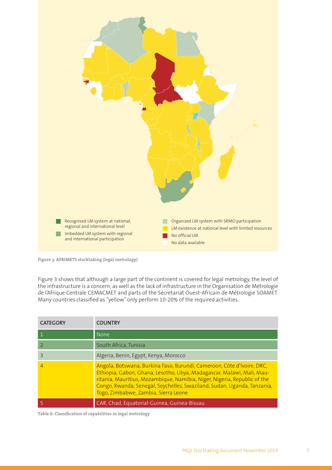

**Figure 3: AFRIMETS stocktaking (legal metrology)**

Figure 3 shows that although a large part of the continent is covered for legal metrology, the level of the infrastructure is a concern, as well as the lack of infrastructure in the Organisation de Métrologie de l'Afrique Centrale CEMACMET and parts of the Sécretariat Ouest-Africain de Métrologie SOAMET. Many countries classified as "yellow" only perform 10-20% of the required activities.

| <b>CATEGORY</b> | <b>COUNTRY</b>                                                                                                                                                                                                                                                                                                                                  |
|-----------------|-------------------------------------------------------------------------------------------------------------------------------------------------------------------------------------------------------------------------------------------------------------------------------------------------------------------------------------------------|
| $\mathbf{1}$    | None                                                                                                                                                                                                                                                                                                                                            |
| $\overline{2}$  | South Africa, Tunisia                                                                                                                                                                                                                                                                                                                           |
| 3               | Algeria, Benin, Egypt, Kenya, Morocco                                                                                                                                                                                                                                                                                                           |
| 4               | Angola, Botswana, Burkina Faso, Burundi, Cameroon, Côte d'Ivoire, DRC,<br>Ethiopia, Gabon, Ghana, Lesotho, Libya, Madagascar, Malawi, Mali, Mau-<br>ritania, Mauritius, Mozambique, Namibia, Niger, Nigeria, Republic of the<br>Congo, Rwanda, Senegal, Seychelles, Swaziland, Sudan, Uganda, Tanzania,<br>Togo, Zimbabwe, Zambia, Sierra Leone |
|                 | CAR, Chad, Equatorial-Guinea, Guinea-Bissau                                                                                                                                                                                                                                                                                                     |

Table 6: Classification of capabilities in legal metrology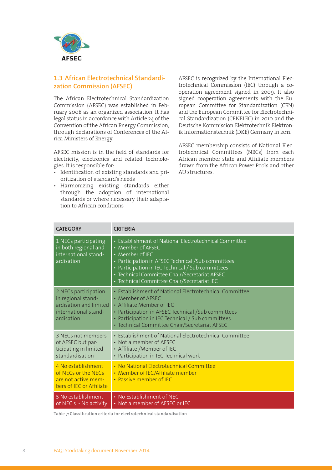

#### **1.3 African Electrotechnical Standardization Commission (AFSEC)**

The African Electrotechnical Standardization Commission (AFSEC) was established in February 2008 as an organized association. It has legal status in accordance with Article 24 of the Convention of the African Energy Commission, through declarations of Conferences of the Africa Ministers of Energy.

AFSEC mission is in the field of standards for electricity, electronics and related technologies. It is responsible for:

- Identification of existing standards and prioritization of standard's needs
- Harmonizing existing standards either through the adoption of international standards or where necessary their adaptation to African conditions

AFSEC is recognized by the International Electrotechnical Commission (IEC) through a cooperation agreement signed in 2009. It also signed cooperation agreements with the European Committee for Standardization (CEN) and the European Committee for Electrotechnical Standardization (CENELEC) in 2010 and the Deutsche Kommission Elektrotechnik Elektronik Informationstechnik (DKE) Germany in 2011.

AFSEC membership consists of National Electrotechnical Committees (NECs) from each African member state and Affiliate members drawn from the African Power Pools and other AU structures.

| <b>CATEGORY</b>                                                                                            | <b>CRITERIA</b>                                                                                                                                                                                                                                                                                            |
|------------------------------------------------------------------------------------------------------------|------------------------------------------------------------------------------------------------------------------------------------------------------------------------------------------------------------------------------------------------------------------------------------------------------------|
| 1 NECs participating<br>in both regional and<br>international stand-<br>ardisation                         | • Establishment of National Electrotechnical Committee<br>• Member of AFSEC<br>• Member of IEC<br>• Participation in AFSEC Technical / Sub committees<br>• Participation in IEC Technical / Sub committees<br>• Technical Committee Chair/Secretariat AFSEC<br>· Technical Committee Chair/Secretariat IEC |
| 2 NECs participation<br>in regional stand-<br>ardisation and limited<br>international stand-<br>ardisation | • Establishment of National Electrotechnical Committee<br>• Member of AFSEC<br>• Affiliate Member of IEC<br>• Participation in AFSEC Technical / Sub committees<br>• Participation in IEC Technical / Sub committees<br>• Technical Committee Chair/Secretariat AFSEC                                      |
| 3 NECs not members<br>of AFSEC but par-<br>ticipating in limited<br>standardisation                        | • Establishment of National Electrotechnical Committee<br>• Not a member of AFSEC<br>• Affiliate /Member of IEC<br>• Participation in IEC Technical work                                                                                                                                                   |
| 4 No establishment<br>of NECs or the NECs<br>are not active mem-<br>bers of IEC or Affiliate               | • No National Electrotechnical Committee<br>• Member of IEC/Affiliate member<br>• Passive member of IEC                                                                                                                                                                                                    |
| 5 No establishment<br>of NEC s - No activity                                                               | • No Establishment of NEC<br>• Not a member of AFSEC or IEC                                                                                                                                                                                                                                                |

**Table 7: Classifi cation criteria for electrotechnical standardisation**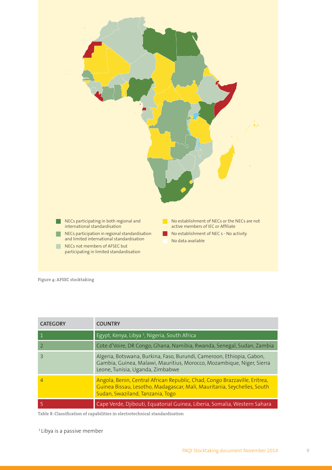

**Figure 4: AFSEC stocktaking**

| <b>CATEGORY</b>          | <b>COUNTRY</b>                                                                                                                                                                            |
|--------------------------|-------------------------------------------------------------------------------------------------------------------------------------------------------------------------------------------|
| ' 1                      | Egypt, Kenya, Libya <sup>1</sup> , Nigeria, South Africa                                                                                                                                  |
| $\overline{z}$           | Cote d'Voire, DR Congo, Ghana, Namibia, Rwanda, Senegal, Sudan, Zambia                                                                                                                    |
| $\overline{\mathcal{E}}$ | Algeria, Botswana, Burkina, Faso, Burundi, Cameroon, Ethiopia, Gabon,<br>Gambia, Guinea, Malawi, Mauritius, Morocco, Mozambique, Niger, Sierra<br>Leone, Tunisia, Uganda, Zimbabwe        |
| $\overline{4}$           | Angola, Benin, Central African Republic, Chad, Congo Brazzaville, Eritrea,<br>Guinea Bissau, Lesotho, Madagascar, Mali, Mauritania, Seychelles, South<br>Sudan, Swaziland, Tanzania, Togo |
|                          | Cape Verde, Djibouti, Equatorial Guinea, Liberia, Somalia, Western Sahara                                                                                                                 |

Table 8: Classification of capabilities in electrotechnical standardisation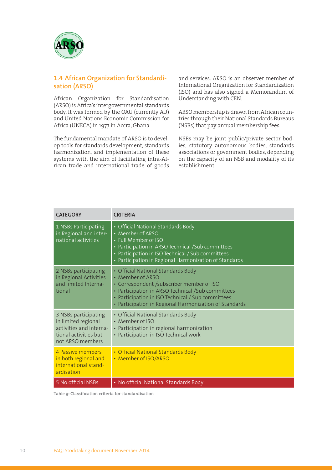

#### **1.4 African Organization for Standardisation (ARSO)**

African Organization for Standardisation (ARSO) is Africa's intergovernmental standards body. It was formed by the OAU (currently AU) and United Nations Economic Commission for Africa (UNECA) in 1977 in Accra, Ghana.

The fundamental mandate of ARSO is to develop tools for standards development, standards harmonization, and implementation of these systems with the aim of facilitating intra-African trade and international trade of goods and services. ARSO is an observer member of International Organization for Standardization (ISO) and has also signed a Memorandum of Understanding with CEN.

ARSO membership is drawn from African countries through their National Standards Bureaus (NSBs) that pay annual membership fees.

NSBs may be joint public/private sector bodies, statutory autonomous bodies, standards associations or government bodies, depending on the capacity of an NSB and modality of its establishment.

| <b>CATEGORY</b>                                                                                                     | <b>CRITERIA</b>                                                                                                                                                                                                                                                          |
|---------------------------------------------------------------------------------------------------------------------|--------------------------------------------------------------------------------------------------------------------------------------------------------------------------------------------------------------------------------------------------------------------------|
| 1 NSBs Participating<br>in Regional and inter-<br>national activities                                               | • Official National Standards Body<br>• Member of ARSO<br>• Full Member of ISO<br>• Participation in ARSO Technical / Sub committees<br>• Participation in ISO Technical / Sub committees<br>• Participation in Regional Harmonization of Standards                      |
| 2 NSBs participating<br>in Regional Activities<br>and limited Interna-<br>tional                                    | • Official National Standards Body<br>• Member of ARSO<br>• Correspondent /subscriber member of ISO<br>• Participation in ARSO Technical / Sub committees<br>• Participation in ISO Technical / Sub committees<br>• Participation in Regional Harmonization of Standards |
| 3 NSBs participating<br>in limited regional<br>activities and interna-<br>tional activities but<br>not ARSO members | • Official National Standards Body<br>• Member of ISO<br>• Participation in regional harmonization<br>• Participation in ISO Technical work                                                                                                                              |
| 4 Passive members<br>in both regional and<br>international stand-<br>ardisation                                     | • Official National Standards Body<br>• Member of ISO/ARSO                                                                                                                                                                                                               |
| 5 No official NSBs                                                                                                  | • No official National Standards Body                                                                                                                                                                                                                                    |

Table 9: Classification criteria for standardisation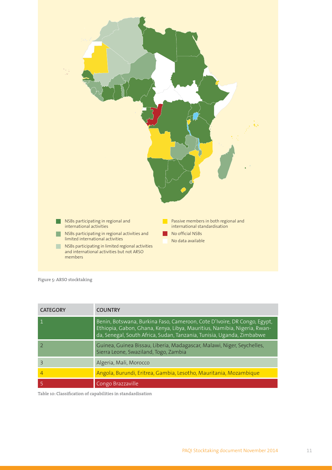

**Figure 5: ARSO stocktaking**

| <b>CATEGORY</b> | <b>COUNTRY</b>                                                                                                                                                                                                                |
|-----------------|-------------------------------------------------------------------------------------------------------------------------------------------------------------------------------------------------------------------------------|
| -1              | Benin, Botswana, Burkina Faso, Cameroon, Cote D'Ivoire, DR Congo, Egypt,<br>Ethiopia, Gabon, Ghana, Kenya, Libya, Mauritius, Namibia, Nigeria, Rwan-<br>da, Senegal, South Africa, Sudan, Tanzania, Tunisia, Uganda, Zimbabwe |
|                 | Guinea, Guinea Bissau, Liberia, Madagascar, Malawi, Niger, Seychelles,<br>Sierra Leone, Swaziland, Togo, Zambia                                                                                                               |
| $\overline{3}$  | Algeria, Mali, Morocco                                                                                                                                                                                                        |
| $\overline{4}$  | Angola, Burundi, Eritrea, Gambia, Lesotho, Mauritania, Mozambique                                                                                                                                                             |
|                 | Congo Brazzaville                                                                                                                                                                                                             |

Table 10: Classification of capabilities in standardisation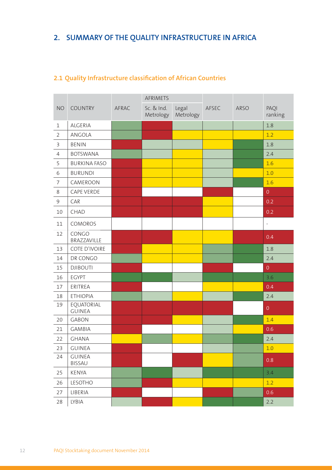## **2. SUMMARY OF THE QUALITY INFRASTRUCTURE IN AFRICA**

|                |                                |       | <b>AFRIMETS</b>         |                    |       |             |                          |
|----------------|--------------------------------|-------|-------------------------|--------------------|-------|-------------|--------------------------|
| <b>NO</b>      | <b>COUNTRY</b>                 | AFRAC | Sc. & Ind.<br>Metrology | Legal<br>Metrology | AFSEC | <b>ARSO</b> | PAQI<br>ranking          |
| $\mathbf 1$    | ALGERIA                        |       |                         |                    |       |             | 1.8                      |
| $\overline{2}$ | ANGOLA                         |       |                         |                    |       |             | 1.2                      |
| $\overline{3}$ | <b>BENIN</b>                   |       |                         |                    |       |             | 1.8                      |
| $\overline{4}$ | <b>BOTSWANA</b>                |       |                         |                    |       |             | 2.4                      |
| 5              | <b>BURKINA FASO</b>            |       |                         |                    |       |             | 1.6                      |
| $\sqrt{6}$     | <b>BURUNDI</b>                 |       |                         |                    |       |             | 1.0                      |
| $\overline{7}$ | CAMEROON                       |       |                         |                    |       |             | 1.6                      |
| 8              | CAPE VERDE                     |       |                         |                    |       |             | $\overline{0}$           |
| $\overline{9}$ | CAR                            |       |                         |                    |       |             | 0.2                      |
| 10             | CHAD                           |       |                         |                    |       |             | 0.2                      |
| 11             | COMOROS                        |       |                         |                    |       |             | $\overline{\phantom{a}}$ |
| 12             | CONGO<br>BRAZZAVILLE           |       |                         |                    |       |             | 0.4                      |
| 13             | COTE D'IVOIRE                  |       |                         |                    |       |             | 1.8                      |
| 14             | DR CONGO                       |       |                         |                    |       |             | 2.4                      |
| 15             | <b>DJIBOUTI</b>                |       |                         |                    |       |             | $\mathbf 0$              |
| 16             | <b>EGYPT</b>                   |       |                         |                    |       |             | 3.6                      |
| 17             | ERITREA                        |       |                         |                    |       |             | 0.4                      |
| 18             | <b>ETHIOPIA</b>                |       |                         |                    |       |             | 2.4                      |
| 19             | EQUATORIAL<br><b>GUINEA</b>    |       |                         |                    |       |             | $\boldsymbol{0}$         |
| 20             | <b>GABON</b>                   |       |                         |                    |       |             | 1.4                      |
| 21             | <b>GAMBIA</b>                  |       |                         |                    |       |             | 0.6                      |
| 22             | <b>GHANA</b>                   |       |                         |                    |       |             | 2.4                      |
| 23             | <b>GUINEA</b>                  |       |                         |                    |       |             | 1.0                      |
| 24             | <b>GUINEA</b><br><b>BISSAU</b> |       |                         |                    |       |             | 0.8                      |
| 25             | <b>KENYA</b>                   |       |                         |                    |       |             | 3.4                      |
| 26             | LESOTHO                        |       |                         |                    |       |             | 1.2                      |
| 27             | LIBERIA                        |       |                         |                    |       |             | 0.6                      |
| 28             | LYBIA                          |       |                         |                    |       |             | 2.2                      |

## **2.1 Quality Infrastructure classification of African Countries**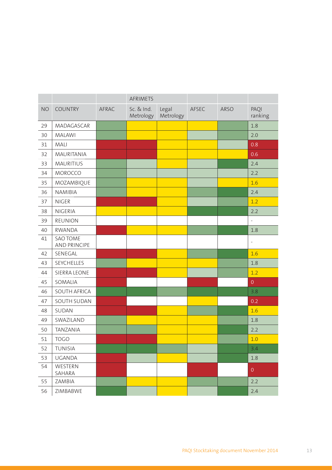|           |                                        |       | AFRIMETS                |                    |       |             |                 |
|-----------|----------------------------------------|-------|-------------------------|--------------------|-------|-------------|-----------------|
| <b>NO</b> | <b>COUNTRY</b>                         | AFRAC | Sc. & Ind.<br>Metrology | Legal<br>Metrology | AFSEC | <b>ARSO</b> | PAQI<br>ranking |
| 29        | MADAGASCAR                             |       |                         |                    |       |             | 1.8             |
| 30        | <b>MALAWI</b>                          |       |                         |                    |       |             | 2.0             |
| 31        | MALI                                   |       |                         |                    |       |             | 0.8             |
| 32        | MAURITANIA                             |       |                         |                    |       |             | 0.6             |
| 33        | <b>MAURITIUS</b>                       |       |                         |                    |       |             | 2.4             |
| 34        | MOROCCO                                |       |                         |                    |       |             | 2.2             |
| 35        | MOZAMBIQUE                             |       |                         |                    |       |             | 1.6             |
| 36        | NAMIBIA                                |       |                         |                    |       |             | 2.4             |
| 37        | <b>NIGER</b>                           |       |                         |                    |       |             | 1.2             |
| 38        | <b>NIGERIA</b>                         |       |                         |                    |       |             | 2.2             |
| 39        | REUNION                                |       |                         |                    |       |             | $\overline{a}$  |
| 40        | <b>RWANDA</b>                          |       |                         |                    |       |             | 1.8             |
| 41        | <b>SAO TOME</b><br><b>AND PRINCIPE</b> |       |                         |                    |       |             | $\frac{1}{2}$   |
| 42        | SENEGAL                                |       |                         |                    |       |             | 1.6             |
| 43        | SEYCHELLES                             |       |                         |                    |       |             | 1.8             |
| 44        | SIERRA LEONE                           |       |                         |                    |       |             | 1.2             |
| 45        | SOMALIA                                |       |                         |                    |       |             | $\overline{0}$  |
| 46        | SOUTH AFRICA                           |       |                         |                    |       |             | 3.8             |
| 47        | SOUTH SUDAN                            |       |                         |                    |       |             | 0.2             |
| 48        | SUDAN                                  |       |                         |                    |       |             | 1.6             |
| 49        | SWAZILAND                              |       |                         |                    |       |             | 1.8             |
| 50        | <b>TANZANIA</b>                        |       |                         |                    |       |             | 2.2             |
| 51        | <b>TOGO</b>                            |       |                         |                    |       |             | 1.0             |
| 52        | TUNISIA                                |       |                         |                    |       |             | 3.4             |
| 53        | <b>UGANDA</b>                          |       |                         |                    |       |             | 1.8             |
| 54        | WESTERN<br>SAHARA                      |       |                         |                    |       |             | $\overline{0}$  |
| 55        | ZAMBIA                                 |       |                         |                    |       |             | 2.2             |
| 56        | ZIMBABWE                               |       |                         |                    |       |             | 2.4             |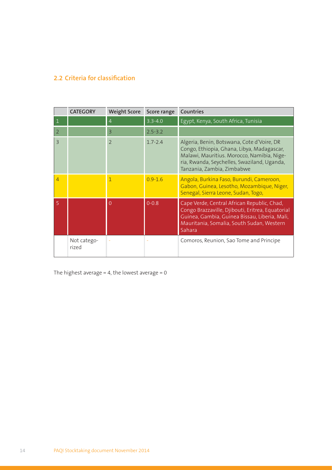#### **2.2 Criteria for classification**

|                | <b>CATEGORY</b>      | <b>Weight Score</b> | Score range | Countries                                                                                                                                                                                                           |
|----------------|----------------------|---------------------|-------------|---------------------------------------------------------------------------------------------------------------------------------------------------------------------------------------------------------------------|
| 1              |                      | $\overline{4}$      | $3.3 - 4.0$ | Egypt, Kenya, South Africa, Tunisia                                                                                                                                                                                 |
| 2              |                      | $\overline{3}$      | $2.5 - 3.2$ |                                                                                                                                                                                                                     |
| $\overline{3}$ |                      | $\mathcal{P}$       | $1.7 - 2.4$ | Algeria, Benin, Botswana, Cote d'Voire, DR<br>Congo, Ethiopia, Ghana, Libya, Madagascar,<br>Malawi, Mauritius. Morocco, Namibia, Nige-<br>ria, Rwanda, Seychelles, Swaziland, Uganda,<br>Tanzania, Zambia, Zimbabwe |
| $\overline{4}$ |                      | 1                   | $0.9 - 1.6$ | Angola, Burkina Faso, Burundi, Cameroon,<br>Gabon, Guinea, Lesotho, Mozambique, Niger,<br>Senegal, Sierra Leone, Sudan, Togo,                                                                                       |
| 5              |                      | 0                   | $0 - 0.8$   | Cape Verde, Central African Republic, Chad,<br>Congo Brazzaville, Djibouti, Eritrea, Equatorial<br>Guinea, Gambia, Guinea Bissau, Liberia, Mali,<br>Mauritania, Somalia, South Sudan, Western<br>Sahara             |
|                | Not catego-<br>rized |                     |             | Comoros, Reunion, Sao Tome and Principe                                                                                                                                                                             |

The highest average =  $4$ , the lowest average =  $0$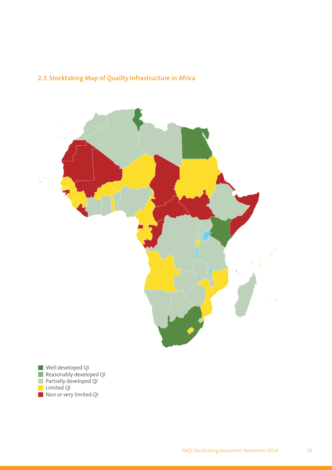## **2.3 Stocktaking Map of Quality Infrastructure in Africa**



Well developed QI Reasonably developed QI Partially developed QI Limited QI Non or very limited QI